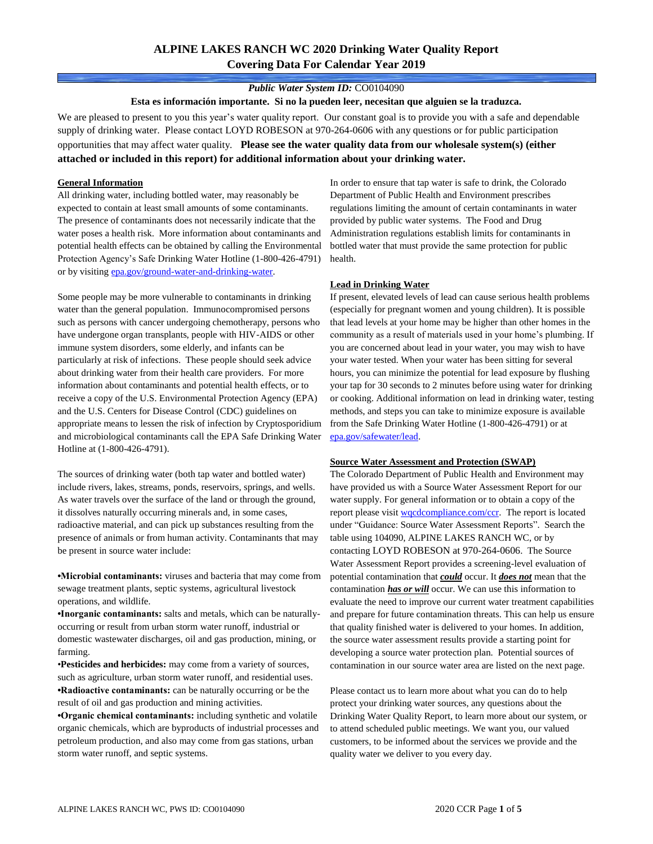# **ALPINE LAKES RANCH WC 2020 Drinking Water Quality Report Covering Data For Calendar Year 2019**

#### *Public Water System ID:* CO0104090

**Esta es información importante. Si no la pueden leer, necesitan que alguien se la traduzca.**

We are pleased to present to you this year's water quality report. Our constant goal is to provide you with a safe and dependable supply of drinking water. Please contact LOYD ROBESON at 970-264-0606 with any questions or for public participation opportunities that may affect water quality. **Please see the water quality data from our wholesale system(s) (either attached or included in this report) for additional information about your drinking water.**

#### **General Information**

All drinking water, including bottled water, may reasonably be expected to contain at least small amounts of some contaminants. The presence of contaminants does not necessarily indicate that the water poses a health risk. More information about contaminants and potential health effects can be obtained by calling the Environmental Protection Agency's Safe Drinking Water Hotline (1-800-426-4791) or by visiting [epa.gov/ground-water-and-drinking-water.](https://www.epa.gov/ground-water-and-drinking-water)

Some people may be more vulnerable to contaminants in drinking water than the general population. Immunocompromised persons such as persons with cancer undergoing chemotherapy, persons who have undergone organ transplants, people with HIV-AIDS or other immune system disorders, some elderly, and infants can be particularly at risk of infections. These people should seek advice about drinking water from their health care providers. For more information about contaminants and potential health effects, or to receive a copy of the U.S. Environmental Protection Agency (EPA) and the U.S. Centers for Disease Control (CDC) guidelines on appropriate means to lessen the risk of infection by Cryptosporidium and microbiological contaminants call the EPA Safe Drinking Water Hotline at (1-800-426-4791).

The sources of drinking water (both tap water and bottled water) include rivers, lakes, streams, ponds, reservoirs, springs, and wells. As water travels over the surface of the land or through the ground, it dissolves naturally occurring minerals and, in some cases, radioactive material, and can pick up substances resulting from the presence of animals or from human activity. Contaminants that may be present in source water include:

**•Microbial contaminants:** viruses and bacteria that may come from sewage treatment plants, septic systems, agricultural livestock operations, and wildlife.

**•Inorganic contaminants:** salts and metals, which can be naturallyoccurring or result from urban storm water runoff, industrial or domestic wastewater discharges, oil and gas production, mining, or farming.

•**Pesticides and herbicides:** may come from a variety of sources, such as agriculture, urban storm water runoff, and residential uses. **•Radioactive contaminants:** can be naturally occurring or be the result of oil and gas production and mining activities.

**•Organic chemical contaminants:** including synthetic and volatile organic chemicals, which are byproducts of industrial processes and petroleum production, and also may come from gas stations, urban storm water runoff, and septic systems.

In order to ensure that tap water is safe to drink, the Colorado Department of Public Health and Environment prescribes regulations limiting the amount of certain contaminants in water provided by public water systems. The Food and Drug Administration regulations establish limits for contaminants in bottled water that must provide the same protection for public health.

#### **Lead in Drinking Water**

If present, elevated levels of lead can cause serious health problems (especially for pregnant women and young children). It is possible that lead levels at your home may be higher than other homes in the community as a result of materials used in your home's plumbing. If you are concerned about lead in your water, you may wish to have your water tested. When your water has been sitting for several hours, you can minimize the potential for lead exposure by flushing your tap for 30 seconds to 2 minutes before using water for drinking or cooking. Additional information on lead in drinking water, testing methods, and steps you can take to minimize exposure is available from the Safe Drinking Water Hotline (1-800-426-4791) or at [epa.gov/safewater/lead.](http://www.epa.gov/safewater/lead) 

#### **Source Water Assessment and Protection (SWAP)**

The Colorado Department of Public Health and Environment may have provided us with a Source Water Assessment Report for our water supply. For general information or to obtain a copy of the report please visit [wqcdcompliance.com/ccr.](https://wqcdcompliance.com/ccr) The report is located under "Guidance: Source Water Assessment Reports". Search the table using 104090, ALPINE LAKES RANCH WC, or by contacting LOYD ROBESON at 970-264-0606. The Source Water Assessment Report provides a screening-level evaluation of potential contamination that *could* occur. It *does not* mean that the contamination *has or will* occur. We can use this information to evaluate the need to improve our current water treatment capabilities and prepare for future contamination threats. This can help us ensure that quality finished water is delivered to your homes. In addition, the source water assessment results provide a starting point for developing a source water protection plan. Potential sources of contamination in our source water area are listed on the next page.

Please contact us to learn more about what you can do to help protect your drinking water sources, any questions about the Drinking Water Quality Report, to learn more about our system, or to attend scheduled public meetings. We want you, our valued customers, to be informed about the services we provide and the quality water we deliver to you every day.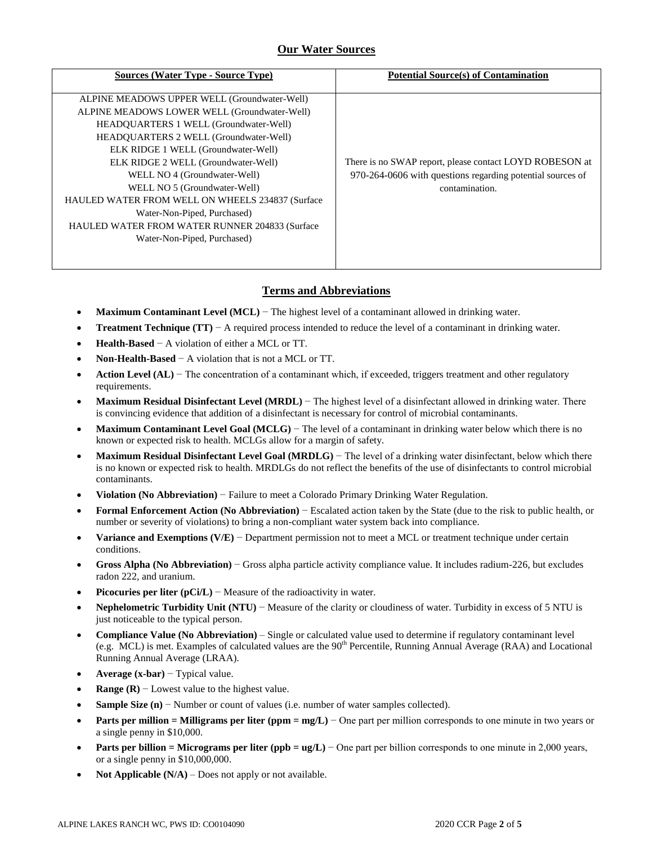### **Our Water Sources**

| <b>Sources (Water Type - Source Type)</b>                | <b>Potential Source(s) of Contamination</b>                |
|----------------------------------------------------------|------------------------------------------------------------|
| ALPINE MEADOWS UPPER WELL (Groundwater-Well)             |                                                            |
| ALPINE MEADOWS LOWER WELL (Groundwater-Well)             |                                                            |
| HEADQUARTERS 1 WELL (Groundwater-Well)                   |                                                            |
| <b>HEADOUARTERS 2 WELL (Groundwater-Well)</b>            |                                                            |
| ELK RIDGE 1 WELL (Groundwater-Well)                      |                                                            |
| ELK RIDGE 2 WELL (Groundwater-Well)                      | There is no SWAP report, please contact LOYD ROBESON at    |
| WELL NO 4 (Groundwater-Well)                             | 970-264-0606 with questions regarding potential sources of |
| WELL NO 5 (Groundwater-Well)                             | contamination.                                             |
| <b>HAULED WATER FROM WELL ON WHEELS 234837 (Surface)</b> |                                                            |
| Water-Non-Piped, Purchased)                              |                                                            |
| <b>HAULED WATER FROM WATER RUNNER 204833 (Surface)</b>   |                                                            |
| Water-Non-Piped, Purchased)                              |                                                            |
|                                                          |                                                            |

### **Terms and Abbreviations**

- **Maximum Contaminant Level (MCL)** − The highest level of a contaminant allowed in drinking water.
- **Treatment Technique (TT)** − A required process intended to reduce the level of a contaminant in drinking water.
- **Health-Based** − A violation of either a MCL or TT.
- **Non-Health-Based** − A violation that is not a MCL or TT.
- **Action Level (AL)** − The concentration of a contaminant which, if exceeded, triggers treatment and other regulatory requirements.
- **Maximum Residual Disinfectant Level (MRDL)** − The highest level of a disinfectant allowed in drinking water. There is convincing evidence that addition of a disinfectant is necessary for control of microbial contaminants.
- **Maximum Contaminant Level Goal (MCLG)** − The level of a contaminant in drinking water below which there is no known or expected risk to health. MCLGs allow for a margin of safety.
- **Maximum Residual Disinfectant Level Goal (MRDLG)** − The level of a drinking water disinfectant, below which there is no known or expected risk to health. MRDLGs do not reflect the benefits of the use of disinfectants to control microbial contaminants.
- **Violation (No Abbreviation)** − Failure to meet a Colorado Primary Drinking Water Regulation.
- **Formal Enforcement Action (No Abbreviation)** − Escalated action taken by the State (due to the risk to public health, or number or severity of violations) to bring a non-compliant water system back into compliance.
- **Variance and Exemptions (V/E)** − Department permission not to meet a MCL or treatment technique under certain conditions.
- **Gross Alpha (No Abbreviation)** − Gross alpha particle activity compliance value. It includes radium-226, but excludes radon 222, and uranium.
- **Picocuries per liter (pCi/L)** − Measure of the radioactivity in water.
- **Nephelometric Turbidity Unit (NTU)** − Measure of the clarity or cloudiness of water. Turbidity in excess of 5 NTU is just noticeable to the typical person.
- **Compliance Value (No Abbreviation)** Single or calculated value used to determine if regulatory contaminant level (e.g. MCL) is met. Examples of calculated values are the  $90<sup>th</sup>$  Percentile, Running Annual Average (RAA) and Locational Running Annual Average (LRAA).
- **Average (x-bar)** − Typical value.
- **Range (R)**  $-$  Lowest value to the highest value.
- **Sample Size (n)** − Number or count of values (i.e. number of water samples collected).
- **Parts per million = Milligrams per liter (ppm = mg/L)** − One part per million corresponds to one minute in two years or a single penny in \$10,000.
- **Parts per billion = Micrograms per liter (ppb = ug/L)** − One part per billion corresponds to one minute in 2,000 years, or a single penny in \$10,000,000.
- **Not Applicable (N/A)** Does not apply or not available.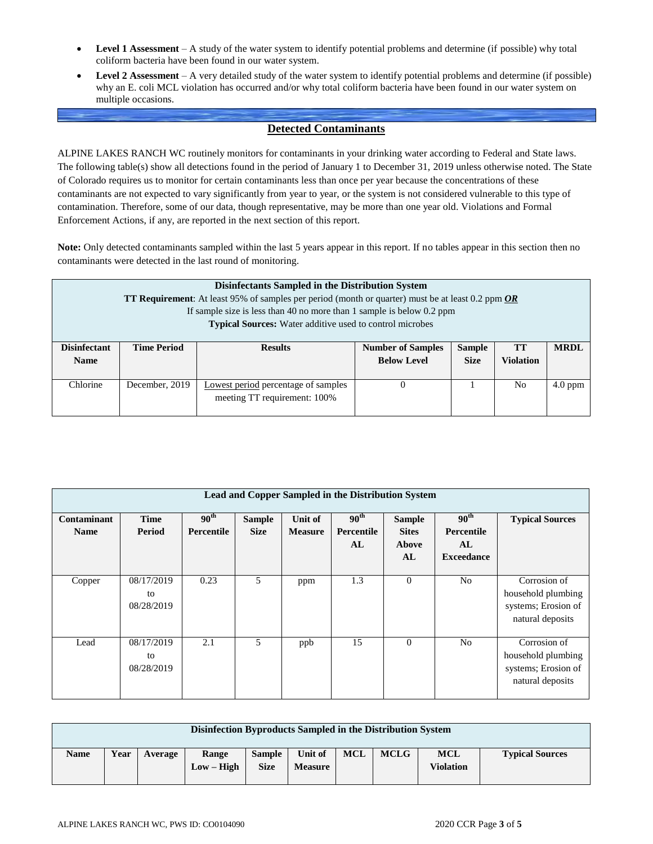- **Level 1 Assessment** A study of the water system to identify potential problems and determine (if possible) why total coliform bacteria have been found in our water system.
- **Level 2 Assessment** A very detailed study of the water system to identify potential problems and determine (if possible) why an E. coli MCL violation has occurred and/or why total coliform bacteria have been found in our water system on multiple occasions.

## **Detected Contaminants**

ALPINE LAKES RANCH WC routinely monitors for contaminants in your drinking water according to Federal and State laws. The following table(s) show all detections found in the period of January 1 to December 31, 2019 unless otherwise noted. The State of Colorado requires us to monitor for certain contaminants less than once per year because the concentrations of these contaminants are not expected to vary significantly from year to year, or the system is not considered vulnerable to this type of contamination. Therefore, some of our data, though representative, may be more than one year old. Violations and Formal Enforcement Actions, if any, are reported in the next section of this report.

**Note:** Only detected contaminants sampled within the last 5 years appear in this report. If no tables appear in this section then no contaminants were detected in the last round of monitoring.

|                                    | Disinfectants Sampled in the Distribution System<br>TT Requirement: At least 95% of samples per period (month or quarter) must be at least 0.2 ppm OR<br>If sample size is less than 40 no more than 1 sample is below $0.2$ ppm<br><b>Typical Sources:</b> Water additive used to control microbes |  |  |  |  |  |  |  |  |  |  |
|------------------------------------|-----------------------------------------------------------------------------------------------------------------------------------------------------------------------------------------------------------------------------------------------------------------------------------------------------|--|--|--|--|--|--|--|--|--|--|
| <b>Disinfectant</b><br><b>Name</b> | <b>MRDL</b><br><b>Time Period</b><br><b>Sample</b><br><b>TT</b><br><b>Number of Samples</b><br><b>Results</b><br><b>Below Level</b><br><b>Violation</b><br><b>Size</b>                                                                                                                              |  |  |  |  |  |  |  |  |  |  |
| Chlorine                           | December, 2019<br>Lowest period percentage of samples<br>No<br>$4.0$ ppm<br>$\theta$<br>meeting TT requirement: 100%                                                                                                                                                                                |  |  |  |  |  |  |  |  |  |  |

|                            | <b>Lead and Copper Sampled in the Distribution System</b> |                                |                              |                                  |                                      |                                              |                                                           |                                                                               |  |  |  |  |  |
|----------------------------|-----------------------------------------------------------|--------------------------------|------------------------------|----------------------------------|--------------------------------------|----------------------------------------------|-----------------------------------------------------------|-------------------------------------------------------------------------------|--|--|--|--|--|
| Contaminant<br><b>Name</b> | <b>Time</b><br>Period                                     | 90 <sup>th</sup><br>Percentile | <b>Sample</b><br><b>Size</b> | <b>Unit of</b><br><b>Measure</b> | 90 <sup>th</sup><br>Percentile<br>AL | <b>Sample</b><br><b>Sites</b><br>Above<br>AL | 90 <sup>th</sup><br>Percentile<br>AL<br><b>Exceedance</b> | <b>Typical Sources</b>                                                        |  |  |  |  |  |
| Copper                     | 08/17/2019<br>to<br>08/28/2019                            | 0.23                           | 5                            | ppm                              | 1.3                                  | $\overline{0}$                               | No                                                        | Corrosion of<br>household plumbing<br>systems; Erosion of<br>natural deposits |  |  |  |  |  |
| Lead                       | 08/17/2019<br>to<br>08/28/2019                            | 2.1                            | 5                            | ppb                              | 15                                   | $\theta$                                     | N <sub>o</sub>                                            | Corrosion of<br>household plumbing<br>systems; Erosion of<br>natural deposits |  |  |  |  |  |

|             | Disinfection Byproducts Sampled in the Distribution System |         |                       |                              |                           |     |             |                                |                        |  |  |  |  |
|-------------|------------------------------------------------------------|---------|-----------------------|------------------------------|---------------------------|-----|-------------|--------------------------------|------------------------|--|--|--|--|
| <b>Name</b> | Year                                                       | Average | Range<br>$Low - High$ | <b>Sample</b><br><b>Size</b> | Unit of<br><b>Measure</b> | MCL | <b>MCLG</b> | <b>MCL</b><br><b>Violation</b> | <b>Typical Sources</b> |  |  |  |  |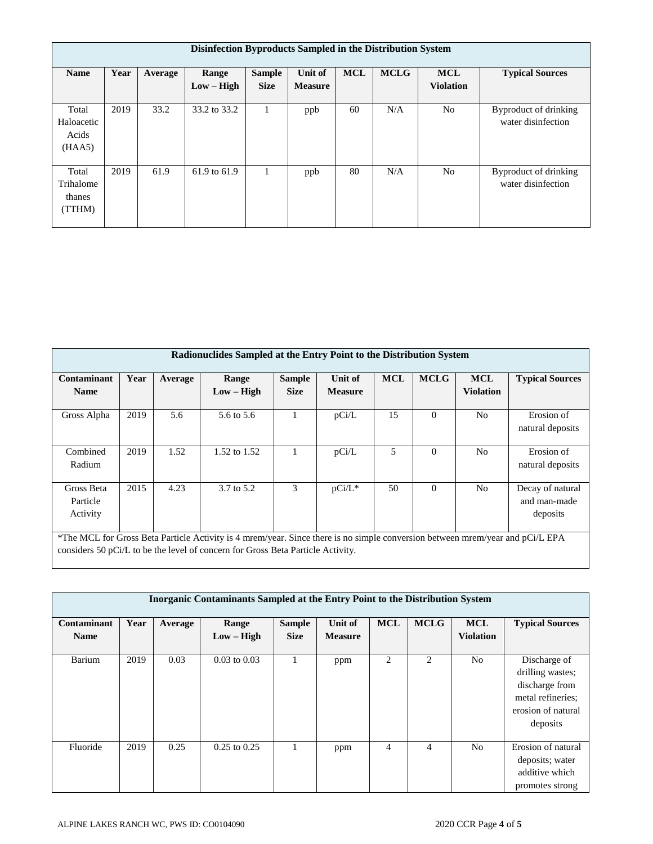|                                        | Disinfection Byproducts Sampled in the Distribution System |         |                       |                              |                           |            |             |                                |                                             |  |  |  |  |
|----------------------------------------|------------------------------------------------------------|---------|-----------------------|------------------------------|---------------------------|------------|-------------|--------------------------------|---------------------------------------------|--|--|--|--|
| <b>Name</b>                            | Year                                                       | Average | Range<br>$Low - High$ | <b>Sample</b><br><b>Size</b> | Unit of<br><b>Measure</b> | <b>MCL</b> | <b>MCLG</b> | <b>MCL</b><br><b>Violation</b> | <b>Typical Sources</b>                      |  |  |  |  |
| Total<br>Haloacetic<br>Acids<br>(HAA5) | 2019                                                       | 33.2    | 33.2 to 33.2          |                              | ppb                       | 60         | N/A         | No                             | Byproduct of drinking<br>water disinfection |  |  |  |  |
| Total<br>Trihalome<br>thanes<br>(TTHM) | 2019                                                       | 61.9    | 61.9 to 61.9          |                              | ppb                       | 80         | N/A         | N <sub>o</sub>                 | Byproduct of drinking<br>water disinfection |  |  |  |  |

| Radionuclides Sampled at the Entry Point to the Distribution System                                                                                                    |                                                                                                                                                                                                                  |         |                       |                              |                           |            |             |                                |                                |  |  |  |
|------------------------------------------------------------------------------------------------------------------------------------------------------------------------|------------------------------------------------------------------------------------------------------------------------------------------------------------------------------------------------------------------|---------|-----------------------|------------------------------|---------------------------|------------|-------------|--------------------------------|--------------------------------|--|--|--|
| Contaminant<br><b>Name</b>                                                                                                                                             | Year                                                                                                                                                                                                             | Average | Range<br>$Low - High$ | <b>Sample</b><br><b>Size</b> | Unit of<br><b>Measure</b> | <b>MCL</b> | <b>MCLG</b> | <b>MCL</b><br><b>Violation</b> | <b>Typical Sources</b>         |  |  |  |
| Gross Alpha                                                                                                                                                            | 2019                                                                                                                                                                                                             | 5.6     | 5.6 to 5.6            |                              | pCi/L                     | 15         | $\Omega$    | N <sub>0</sub>                 | Erosion of<br>natural deposits |  |  |  |
| Combined<br>Radium                                                                                                                                                     | 2019                                                                                                                                                                                                             | 1.52    | 1.52 to 1.52          |                              | pCi/L                     | 5          | $\Omega$    | N <sub>0</sub>                 | Erosion of<br>natural deposits |  |  |  |
| 2015<br>3<br>50<br>N <sub>o</sub><br>4.23<br>$\Omega$<br>3.7 to 5.2<br>$pCi/L^*$<br>Gross Beta<br>Decay of natural<br>Particle<br>and man-made<br>Activity<br>deposits |                                                                                                                                                                                                                  |         |                       |                              |                           |            |             |                                |                                |  |  |  |
|                                                                                                                                                                        | *The MCL for Gross Beta Particle Activity is 4 mrem/year. Since there is no simple conversion between mrem/year and pCi/L EPA<br>considers 50 pCi/L to be the level of concern for Gross Beta Particle Activity. |         |                       |                              |                           |            |             |                                |                                |  |  |  |

| Inorganic Contaminants Sampled at the Entry Point to the Distribution System |      |         |                       |                              |                           |                |             |                                |                                                                                                           |  |  |  |
|------------------------------------------------------------------------------|------|---------|-----------------------|------------------------------|---------------------------|----------------|-------------|--------------------------------|-----------------------------------------------------------------------------------------------------------|--|--|--|
| Contaminant<br><b>Name</b>                                                   | Year | Average | Range<br>$Low - High$ | <b>Sample</b><br><b>Size</b> | Unit of<br><b>Measure</b> | <b>MCL</b>     | <b>MCLG</b> | <b>MCL</b><br><b>Violation</b> | <b>Typical Sources</b>                                                                                    |  |  |  |
| Barium                                                                       | 2019 | 0.03    | $0.03$ to $0.03$      |                              | ppm                       | $\overline{2}$ | 2           | No.                            | Discharge of<br>drilling wastes;<br>discharge from<br>metal refineries;<br>erosion of natural<br>deposits |  |  |  |
| Fluoride                                                                     | 2019 | 0.25    | $0.25$ to $0.25$      |                              | ppm                       | 4              | 4           | No.                            | Erosion of natural<br>deposits; water<br>additive which<br>promotes strong                                |  |  |  |